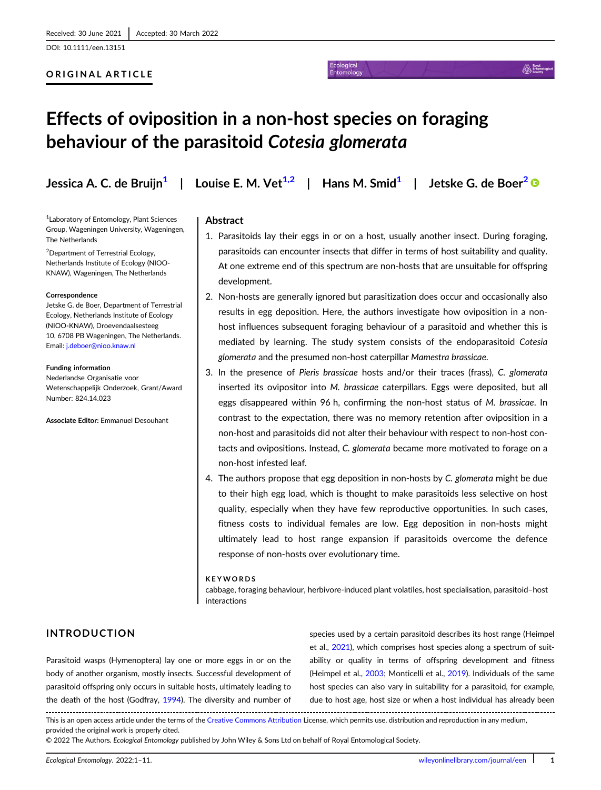DOI: 10.1111/een.13151

#### ORIGINAL ARTICLE

#### AN Ent

# Effects of oviposition in a non-host species on foraging behaviour of the parasitoid Cotesia glomerata

1 Laboratory of Entomology, Plant Sciences Group, Wageningen University, Wageningen, The Netherlands

<sup>2</sup> Department of Terrestrial Ecology, Netherlands Institute of Ecology (NIOO-KNAW), Wageningen, The Netherlands

#### **Correspondence**

Jetske G. de Boer, Department of Terrestrial Ecology, Netherlands Institute of Ecology (NIOO-KNAW), Droevendaalsesteeg 10, 6708 PB Wageningen, The Netherlands. Email: [j.deboer@nioo.knaw.nl](mailto:j.deboer@nioo.knaw.nl)

#### Funding information

Nederlandse Organisatie voor Wetenschappelijk Onderzoek, Grant/Award Number: 824.14.023

Associate Editor: Emmanuel Desouhant

## Jessica A. C. de Bruiin<sup>1</sup> | Louise E. M. Vet<sup>1,2</sup> | Hans M. Smid<sup>1</sup> | Jetske G. de Boer<sup>2</sup> ©

Entomology

#### Abstract

- 1. Parasitoids lay their eggs in or on a host, usually another insect. During foraging, parasitoids can encounter insects that differ in terms of host suitability and quality. At one extreme end of this spectrum are non-hosts that are unsuitable for offspring development.
- 2. Non-hosts are generally ignored but parasitization does occur and occasionally also results in egg deposition. Here, the authors investigate how oviposition in a nonhost influences subsequent foraging behaviour of a parasitoid and whether this is mediated by learning. The study system consists of the endoparasitoid Cotesia glomerata and the presumed non-host caterpillar Mamestra brassicae.
- 3. In the presence of Pieris brassicae hosts and/or their traces (frass), C. glomerata inserted its ovipositor into M. brassicae caterpillars. Eggs were deposited, but all eggs disappeared within 96 h, confirming the non-host status of M. brassicae. In contrast to the expectation, there was no memory retention after oviposition in a non-host and parasitoids did not alter their behaviour with respect to non-host contacts and ovipositions. Instead, C. glomerata became more motivated to forage on a non-host infested leaf.
- 4. The authors propose that egg deposition in non-hosts by C. glomerata might be due to their high egg load, which is thought to make parasitoids less selective on host quality, especially when they have few reproductive opportunities. In such cases, fitness costs to individual females are low. Egg deposition in non-hosts might ultimately lead to host range expansion if parasitoids overcome the defence response of non-hosts over evolutionary time.

#### KEYWORDS

cabbage, foraging behaviour, herbivore-induced plant volatiles, host specialisation, parasitoid–host interactions

### INTRODUCTION

Parasitoid wasps (Hymenoptera) lay one or more eggs in or on the body of another organism, mostly insects. Successful development of parasitoid offspring only occurs in suitable hosts, ultimately leading to the death of the host (Godfray, [1994](#page-9-0)). The diversity and number of

species used by a certain parasitoid describes its host range (Heimpel et al., [2021](#page-9-0)), which comprises host species along a spectrum of suitability or quality in terms of offspring development and fitness (Heimpel et al., [2003](#page-9-0); Monticelli et al., [2019\)](#page-9-0). Individuals of the same host species can also vary in suitability for a parasitoid, for example, due to host age, host size or when a host individual has already been

This is an open access article under the terms of the [Creative Commons Attribution](http://creativecommons.org/licenses/by/4.0/) License, which permits use, distribution and reproduction in any medium, provided the original work is properly cited.

© 2022 The Authors. Ecological Entomology published by John Wiley & Sons Ltd on behalf of Royal Entomological Society.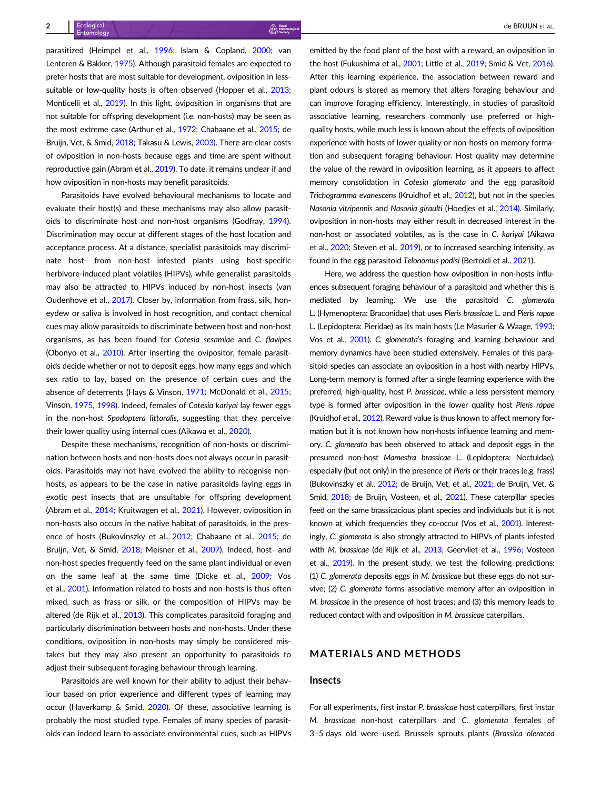parasitized (Heimpel et al., [1996](#page-9-0); Islam & Copland, [2000](#page-9-0); van Lenteren & Bakker, [1975\)](#page-10-0). Although parasitoid females are expected to prefer hosts that are most suitable for development, oviposition in less-suitable or low-quality hosts is often observed (Hopper et al., [2013](#page-9-0); Monticelli et al., [2019\)](#page-9-0). In this light, oviposition in organisms that are not suitable for offspring development (i.e. non-hosts) may be seen as the most extreme case (Arthur et al., [1972](#page-8-0); Chabaane et al., [2015](#page-8-0); de Bruijn, Vet, & Smid, [2018](#page-9-0); Takasu & Lewis, [2003\)](#page-10-0). There are clear costs of oviposition in non-hosts because eggs and time are spent without reproductive gain (Abram et al., [2019\)](#page-8-0). To date, it remains unclear if and how oviposition in non-hosts may benefit parasitoids.

Parasitoids have evolved behavioural mechanisms to locate and evaluate their host(s) and these mechanisms may also allow parasitoids to discriminate host and non-host organisms (Godfray, [1994](#page-9-0)). Discrimination may occur at different stages of the host location and acceptance process. At a distance, specialist parasitoids may discriminate host- from non-host infested plants using host-specific herbivore-induced plant volatiles (HIPVs), while generalist parasitoids may also be attracted to HIPVs induced by non-host insects (van Oudenhove et al., [2017](#page-10-0)). Closer by, information from frass, silk, honeydew or saliva is involved in host recognition, and contact chemical cues may allow parasitoids to discriminate between host and non-host organisms, as has been found for Cotesia sesamiae and C. flavipes (Obonyo et al., [2010](#page-10-0)). After inserting the ovipositor, female parasitoids decide whether or not to deposit eggs, how many eggs and which sex ratio to lay, based on the presence of certain cues and the absence of deterrents (Hays & Vinson, [1971;](#page-9-0) McDonald et al., [2015](#page-9-0); Vinson, [1975,](#page-10-0) [1998](#page-10-0)). Indeed, females of Cotesia kariyai lay fewer eggs in the non-host Spodoptera littoralis, suggesting that they perceive their lower quality using internal cues (Aikawa et al., [2020](#page-8-0)).

Despite these mechanisms, recognition of non-hosts or discrimination between hosts and non-hosts does not always occur in parasitoids. Parasitoids may not have evolved the ability to recognise nonhosts, as appears to be the case in native parasitoids laying eggs in exotic pest insects that are unsuitable for offspring development (Abram et al., [2014;](#page-8-0) Kruitwagen et al., [2021\)](#page-9-0). However, oviposition in non-hosts also occurs in the native habitat of parasitoids, in the presence of hosts (Bukovinszky et al., [2012](#page-8-0); Chabaane et al., [2015](#page-8-0); de Bruijn, Vet, & Smid, [2018;](#page-9-0) Meisner et al., [2007\)](#page-9-0). Indeed, host- and non-host species frequently feed on the same plant individual or even on the same leaf at the same time (Dicke et al., [2009](#page-9-0); Vos et al., [2001](#page-10-0)). Information related to hosts and non-hosts is thus often mixed, such as frass or silk, or the composition of HIPVs may be altered (de Rijk et al., [2013\)](#page-9-0). This complicates parasitoid foraging and particularly discrimination between hosts and non-hosts. Under these conditions, oviposition in non-hosts may simply be considered mistakes but they may also present an opportunity to parasitoids to adjust their subsequent foraging behaviour through learning.

Parasitoids are well known for their ability to adjust their behaviour based on prior experience and different types of learning may occur (Haverkamp & Smid, [2020\)](#page-9-0). Of these, associative learning is probably the most studied type. Females of many species of parasitoids can indeed learn to associate environmental cues, such as HIPVs emitted by the food plant of the host with a reward, an oviposition in the host (Fukushima et al., [2001](#page-9-0); Little et al., [2019](#page-9-0); Smid & Vet, [2016\)](#page-10-0). After this learning experience, the association between reward and plant odours is stored as memory that alters foraging behaviour and can improve foraging efficiency. Interestingly, in studies of parasitoid associative learning, researchers commonly use preferred or highquality hosts, while much less is known about the effects of oviposition experience with hosts of lower quality or non-hosts on memory formation and subsequent foraging behaviour. Host quality may determine the value of the reward in oviposition learning, as it appears to affect memory consolidation in Cotesia glomerata and the egg parasitoid Trichogramma evanescens (Kruidhof et al., [2012](#page-9-0)), but not in the species Nasonia vitripennis and Nasonia giraulti (Hoedjes et al., [2014](#page-9-0)). Similarly, oviposition in non-hosts may either result in decreased interest in the non-host or associated volatiles, as is the case in C. kariyai (Aikawa et al., [2020;](#page-8-0) Steven et al., [2019\)](#page-10-0), or to increased searching intensity, as found in the egg parasitoid Telonomus podisi (Bertoldi et al., [2021\)](#page-8-0).

Here, we address the question how oviposition in non-hosts influences subsequent foraging behaviour of a parasitoid and whether this is mediated by learning. We use the parasitoid C. glomerata L. (Hymenoptera: Braconidae) that uses Pieris brassicae L. and Pieris rapae L. (Lepidoptera: Pieridae) as its main hosts (Le Masurier & Waage, [1993;](#page-9-0) Vos et al., [2001](#page-10-0)). C. glomerata's foraging and learning behaviour and memory dynamics have been studied extensively. Females of this parasitoid species can associate an oviposition in a host with nearby HIPVs. Long-term memory is formed after a single learning experience with the preferred, high-quality, host P. brassicae, while a less persistent memory type is formed after oviposition in the lower quality host Pieris rapae (Kruidhof et al., [2012\)](#page-9-0). Reward value is thus known to affect memory formation but it is not known how non-hosts influence learning and memory. C. glomerata has been observed to attack and deposit eggs in the presumed non-host Mamestra brassicae L. (Lepidoptera: Noctuidae), especially (but not only) in the presence of Pieris or their traces (e.g. frass) (Bukovinszky et al., [2012](#page-8-0); de Bruijn, Vet, et al., [2021;](#page-9-0) de Bruijn, Vet, & Smid, [2018;](#page-9-0) de Bruijn, Vosteen, et al., [2021](#page-9-0)). These caterpillar species feed on the same brassicacious plant species and individuals but it is not known at which frequencies they co-occur (Vos et al., [2001](#page-10-0)). Interestingly, C. glomerata is also strongly attracted to HIPVs of plants infested with M. brassicae (de Rijk et al., [2013;](#page-9-0) Geervliet et al., [1996;](#page-9-0) Vosteen et al., [2019](#page-10-0)). In the present study, we test the following predictions: (1) C. glomerata deposits eggs in M. brassicae but these eggs do not survive; (2) C. glomerata forms associative memory after an oviposition in M. brassicae in the presence of host traces; and (3) this memory leads to reduced contact with and oviposition in M. brassicae caterpillars.

#### MATERIALS AND METHODS

#### Insects

For all experiments, first instar P. brassicae host caterpillars, first instar M. brassicae non-host caterpillars and C. glomerata females of 3–5 days old were used. Brussels sprouts plants (Brassica oleracea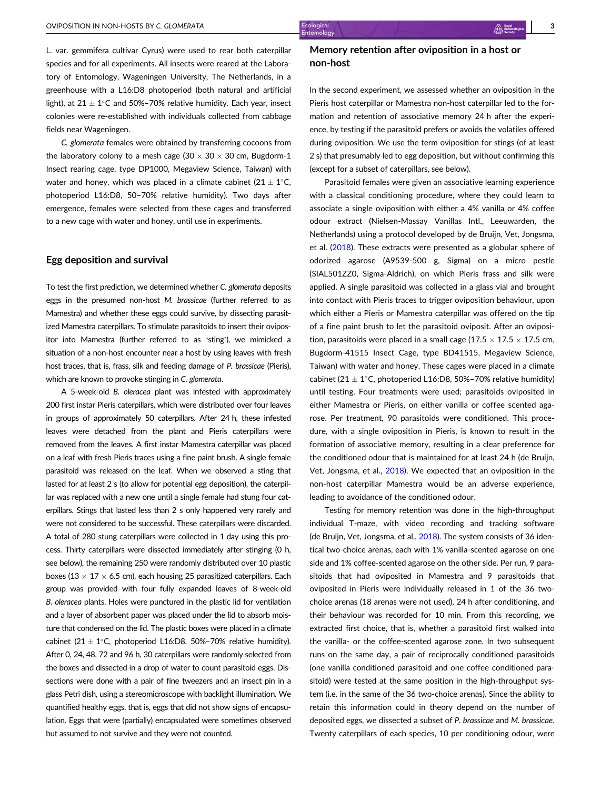L. var. gemmifera cultivar Cyrus) were used to rear both caterpillar species and for all experiments. All insects were reared at the Laboratory of Entomology, Wageningen University, The Netherlands, in a greenhouse with a L16:D8 photoperiod (both natural and artificial light), at  $21 \pm 1^{\circ}$ C and 50%–70% relative humidity. Each year, insect colonies were re-established with individuals collected from cabbage fields near Wageningen.

C. glomerata females were obtained by transferring cocoons from the laboratory colony to a mesh cage (30  $\times$  30  $\times$  30 cm, Bugdorm-1 Insect rearing cage, type DP1000, Megaview Science, Taiwan) with water and honey, which was placed in a climate cabinet  $(21 \pm 1^{\circ}C,$ photoperiod L16:D8, 50–70% relative humidity). Two days after emergence, females were selected from these cages and transferred to a new cage with water and honey, until use in experiments.

#### Egg deposition and survival

To test the first prediction, we determined whether C. glomerata deposits eggs in the presumed non-host M. brassicae (further referred to as Mamestra) and whether these eggs could survive, by dissecting parasitized Mamestra caterpillars. To stimulate parasitoids to insert their ovipositor into Mamestra (further referred to as 'sting'), we mimicked a situation of a non-host encounter near a host by using leaves with fresh host traces, that is, frass, silk and feeding damage of P. brassicae (Pieris), which are known to provoke stinging in C. glomerata.

A 5-week-old B. oleracea plant was infested with approximately 200 first instar Pieris caterpillars, which were distributed over four leaves in groups of approximately 50 caterpillars. After 24 h, these infested leaves were detached from the plant and Pieris caterpillars were removed from the leaves. A first instar Mamestra caterpillar was placed on a leaf with fresh Pieris traces using a fine paint brush. A single female parasitoid was released on the leaf. When we observed a sting that lasted for at least 2 s (to allow for potential egg deposition), the caterpillar was replaced with a new one until a single female had stung four caterpillars. Stings that lasted less than 2 s only happened very rarely and were not considered to be successful. These caterpillars were discarded. A total of 280 stung caterpillars were collected in 1 day using this process. Thirty caterpillars were dissected immediately after stinging (0 h, see below), the remaining 250 were randomly distributed over 10 plastic boxes (13  $\times$  17  $\times$  6.5 cm), each housing 25 parasitized caterpillars. Each group was provided with four fully expanded leaves of 8-week-old B. oleracea plants. Holes were punctured in the plastic lid for ventilation and a layer of absorbent paper was placed under the lid to absorb moisture that condensed on the lid. The plastic boxes were placed in a climate cabinet (21  $\pm$  1°C, photoperiod L16:D8, 50%–70% relative humidity). After 0, 24, 48, 72 and 96 h, 30 caterpillars were randomly selected from the boxes and dissected in a drop of water to count parasitoid eggs. Dissections were done with a pair of fine tweezers and an insect pin in a glass Petri dish, using a stereomicroscope with backlight illumination. We quantified healthy eggs, that is, eggs that did not show signs of encapsulation. Eggs that were (partially) encapsulated were sometimes observed but assumed to not survive and they were not counted.

#### Memory retention after oviposition in a host or non-host

In the second experiment, we assessed whether an oviposition in the Pieris host caterpillar or Mamestra non-host caterpillar led to the formation and retention of associative memory 24 h after the experience, by testing if the parasitoid prefers or avoids the volatiles offered during oviposition. We use the term oviposition for stings (of at least 2 s) that presumably led to egg deposition, but without confirming this (except for a subset of caterpillars, see below).

Parasitoid females were given an associative learning experience with a classical conditioning procedure, where they could learn to associate a single oviposition with either a 4% vanilla or 4% coffee odour extract (Nielsen-Massay Vanillas Intl., Leeuwarden, the Netherlands) using a protocol developed by de Bruijn, Vet, Jongsma, et al. [\(2018\)](#page-9-0). These extracts were presented as a globular sphere of odorized agarose (A9539-500 g, Sigma) on a micro pestle (SIAL501ZZ0, Sigma-Aldrich), on which Pieris frass and silk were applied. A single parasitoid was collected in a glass vial and brought into contact with Pieris traces to trigger oviposition behaviour, upon which either a Pieris or Mamestra caterpillar was offered on the tip of a fine paint brush to let the parasitoid oviposit. After an oviposition, parasitoids were placed in a small cage (17.5  $\times$  17.5  $\times$  17.5 cm, Bugdorm-41515 Insect Cage, type BD41515, Megaview Science, Taiwan) with water and honey. These cages were placed in a climate cabinet (21  $\pm$  1°C, photoperiod L16:D8, 50%–70% relative humidity) until testing. Four treatments were used; parasitoids oviposited in either Mamestra or Pieris, on either vanilla or coffee scented agarose. Per treatment, 90 parasitoids were conditioned. This procedure, with a single oviposition in Pieris, is known to result in the formation of associative memory, resulting in a clear preference for the conditioned odour that is maintained for at least 24 h (de Bruijn, Vet, Jongsma, et al., [2018\)](#page-9-0). We expected that an oviposition in the non-host caterpillar Mamestra would be an adverse experience, leading to avoidance of the conditioned odour.

Testing for memory retention was done in the high-throughput individual T-maze, with video recording and tracking software (de Bruijn, Vet, Jongsma, et al., [2018](#page-9-0)). The system consists of 36 identical two-choice arenas, each with 1% vanilla-scented agarose on one side and 1% coffee-scented agarose on the other side. Per run, 9 parasitoids that had oviposited in Mamestra and 9 parasitoids that oviposited in Pieris were individually released in 1 of the 36 twochoice arenas (18 arenas were not used), 24 h after conditioning, and their behaviour was recorded for 10 min. From this recording, we extracted first choice, that is, whether a parasitoid first walked into the vanilla- or the coffee-scented agarose zone. In two subsequent runs on the same day, a pair of reciprocally conditioned parasitoids (one vanilla conditioned parasitoid and one coffee conditioned parasitoid) were tested at the same position in the high-throughput system (i.e. in the same of the 36 two-choice arenas). Since the ability to retain this information could in theory depend on the number of deposited eggs, we dissected a subset of P. brassicae and M. brassicae. Twenty caterpillars of each species, 10 per conditioning odour, were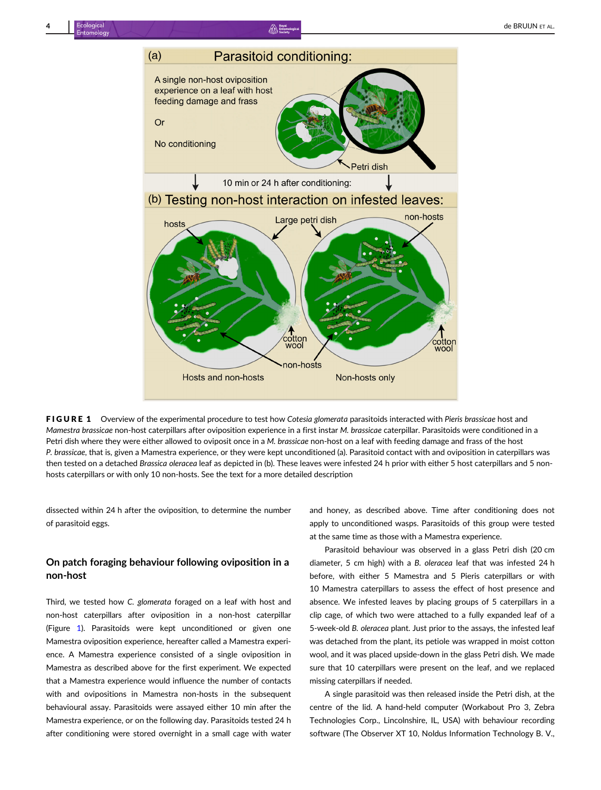

FIGURE 1 Overview of the experimental procedure to test how Cotesia glomerata parasitoids interacted with Pieris brassicae host and Mamestra brassicae non-host caterpillars after oviposition experience in a first instar M. brassicae caterpillar. Parasitoids were conditioned in a Petri dish where they were either allowed to oviposit once in a M. brassicae non-host on a leaf with feeding damage and frass of the host P. brassicae, that is, given a Mamestra experience, or they were kept unconditioned (a). Parasitoid contact with and oviposition in caterpillars was then tested on a detached Brassica oleracea leaf as depicted in (b). These leaves were infested 24 h prior with either 5 host caterpillars and 5 nonhosts caterpillars or with only 10 non-hosts. See the text for a more detailed description

dissected within 24 h after the oviposition, to determine the number of parasitoid eggs.

#### On patch foraging behaviour following oviposition in a non-host

Third, we tested how C. glomerata foraged on a leaf with host and non-host caterpillars after oviposition in a non-host caterpillar (Figure 1). Parasitoids were kept unconditioned or given one Mamestra oviposition experience, hereafter called a Mamestra experience. A Mamestra experience consisted of a single oviposition in Mamestra as described above for the first experiment. We expected that a Mamestra experience would influence the number of contacts with and ovipositions in Mamestra non-hosts in the subsequent behavioural assay. Parasitoids were assayed either 10 min after the Mamestra experience, or on the following day. Parasitoids tested 24 h after conditioning were stored overnight in a small cage with water

and honey, as described above. Time after conditioning does not apply to unconditioned wasps. Parasitoids of this group were tested at the same time as those with a Mamestra experience.

Parasitoid behaviour was observed in a glass Petri dish (20 cm diameter, 5 cm high) with a B. oleracea leaf that was infested 24 h before, with either 5 Mamestra and 5 Pieris caterpillars or with 10 Mamestra caterpillars to assess the effect of host presence and absence. We infested leaves by placing groups of 5 caterpillars in a clip cage, of which two were attached to a fully expanded leaf of a 5-week-old B. oleracea plant. Just prior to the assays, the infested leaf was detached from the plant, its petiole was wrapped in moist cotton wool, and it was placed upside-down in the glass Petri dish. We made sure that 10 caterpillars were present on the leaf, and we replaced missing caterpillars if needed.

A single parasitoid was then released inside the Petri dish, at the centre of the lid. A hand-held computer (Workabout Pro 3, Zebra Technologies Corp., Lincolnshire, IL, USA) with behaviour recording software (The Observer XT 10, Noldus Information Technology B. V.,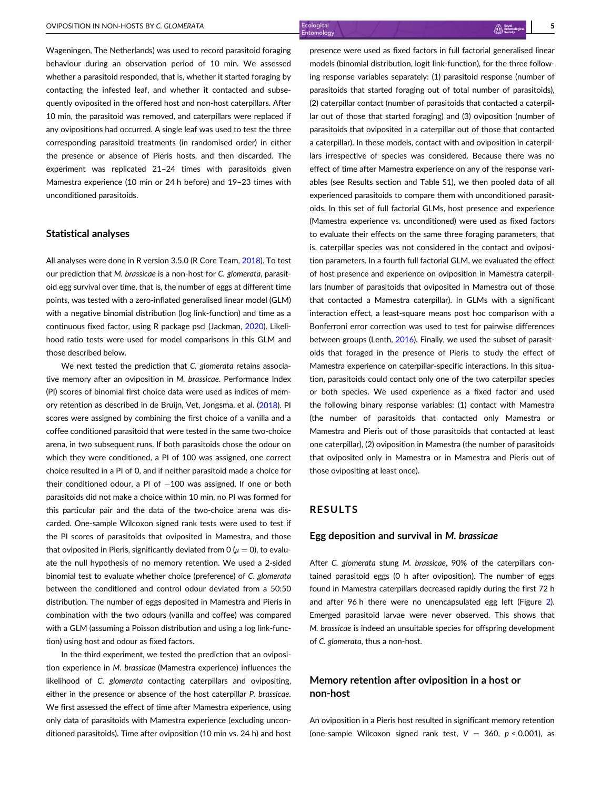Wageningen, The Netherlands) was used to record parasitoid foraging behaviour during an observation period of 10 min. We assessed whether a parasitoid responded, that is, whether it started foraging by contacting the infested leaf, and whether it contacted and subsequently oviposited in the offered host and non-host caterpillars. After 10 min, the parasitoid was removed, and caterpillars were replaced if any ovipositions had occurred. A single leaf was used to test the three corresponding parasitoid treatments (in randomised order) in either the presence or absence of Pieris hosts, and then discarded. The experiment was replicated 21–24 times with parasitoids given Mamestra experience (10 min or 24 h before) and 19–23 times with unconditioned parasitoids.

#### Statistical analyses

All analyses were done in R version 3.5.0 (R Core Team, [2018](#page-10-0)). To test our prediction that M. brassicae is a non-host for C. glomerata, parasitoid egg survival over time, that is, the number of eggs at different time points, was tested with a zero-inflated generalised linear model (GLM) with a negative binomial distribution (log link-function) and time as a continuous fixed factor, using R package pscl (Jackman, [2020](#page-9-0)). Likelihood ratio tests were used for model comparisons in this GLM and those described below.

We next tested the prediction that C. glomerata retains associative memory after an oviposition in M. brassicae. Performance Index (PI) scores of binomial first choice data were used as indices of memory retention as described in de Bruijn, Vet, Jongsma, et al. ([2018](#page-9-0)). PI scores were assigned by combining the first choice of a vanilla and a coffee conditioned parasitoid that were tested in the same two-choice arena, in two subsequent runs. If both parasitoids chose the odour on which they were conditioned, a PI of 100 was assigned, one correct choice resulted in a PI of 0, and if neither parasitoid made a choice for their conditioned odour, a PI of  $-100$  was assigned. If one or both parasitoids did not make a choice within 10 min, no PI was formed for this particular pair and the data of the two-choice arena was discarded. One-sample Wilcoxon signed rank tests were used to test if the PI scores of parasitoids that oviposited in Mamestra, and those that oviposited in Pieris, significantly deviated from 0 ( $\mu = 0$ ), to evaluate the null hypothesis of no memory retention. We used a 2-sided binomial test to evaluate whether choice (preference) of C. glomerata between the conditioned and control odour deviated from a 50:50 distribution. The number of eggs deposited in Mamestra and Pieris in combination with the two odours (vanilla and coffee) was compared with a GLM (assuming a Poisson distribution and using a log link-function) using host and odour as fixed factors.

In the third experiment, we tested the prediction that an oviposition experience in M. brassicae (Mamestra experience) influences the likelihood of C. glomerata contacting caterpillars and ovipositing, either in the presence or absence of the host caterpillar P. brassicae. We first assessed the effect of time after Mamestra experience, using only data of parasitoids with Mamestra experience (excluding unconditioned parasitoids). Time after oviposition (10 min vs. 24 h) and host

presence were used as fixed factors in full factorial generalised linear models (binomial distribution, logit link-function), for the three following response variables separately: (1) parasitoid response (number of parasitoids that started foraging out of total number of parasitoids), (2) caterpillar contact (number of parasitoids that contacted a caterpillar out of those that started foraging) and (3) oviposition (number of parasitoids that oviposited in a caterpillar out of those that contacted a caterpillar). In these models, contact with and oviposition in caterpillars irrespective of species was considered. Because there was no effect of time after Mamestra experience on any of the response variables (see Results section and Table S1), we then pooled data of all experienced parasitoids to compare them with unconditioned parasitoids. In this set of full factorial GLMs, host presence and experience (Mamestra experience vs. unconditioned) were used as fixed factors to evaluate their effects on the same three foraging parameters, that is, caterpillar species was not considered in the contact and oviposition parameters. In a fourth full factorial GLM, we evaluated the effect of host presence and experience on oviposition in Mamestra caterpillars (number of parasitoids that oviposited in Mamestra out of those that contacted a Mamestra caterpillar). In GLMs with a significant interaction effect, a least-square means post hoc comparison with a Bonferroni error correction was used to test for pairwise differences between groups (Lenth, [2016](#page-9-0)). Finally, we used the subset of parasitoids that foraged in the presence of Pieris to study the effect of Mamestra experience on caterpillar-specific interactions. In this situation, parasitoids could contact only one of the two caterpillar species or both species. We used experience as a fixed factor and used the following binary response variables: (1) contact with Mamestra (the number of parasitoids that contacted only Mamestra or Mamestra and Pieris out of those parasitoids that contacted at least one caterpillar), (2) oviposition in Mamestra (the number of parasitoids that oviposited only in Mamestra or in Mamestra and Pieris out of those ovipositing at least once).

#### RESULTS

#### Egg deposition and survival in M. brassicae

After C. glomerata stung M. brassicae, 90% of the caterpillars contained parasitoid eggs (0 h after oviposition). The number of eggs found in Mamestra caterpillars decreased rapidly during the first 72 h and after 96 h there were no unencapsulated egg left (Figure [2\)](#page-5-0). Emerged parasitoid larvae were never observed. This shows that M. brassicae is indeed an unsuitable species for offspring development of C. glomerata, thus a non-host.

#### Memory retention after oviposition in a host or non-host

An oviposition in a Pieris host resulted in significant memory retention (one-sample Wilcoxon signed rank test,  $V = 360$ ,  $p < 0.001$ ), as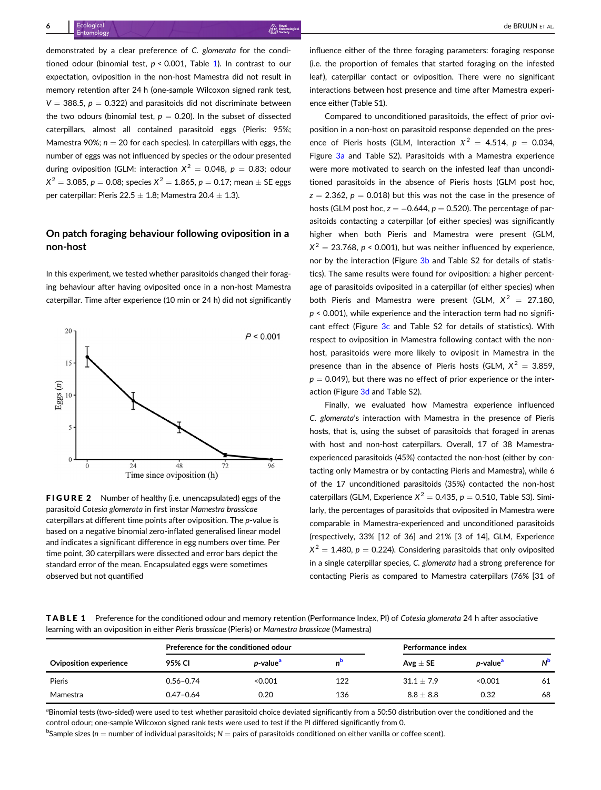<span id="page-5-0"></span>demonstrated by a clear preference of C. glomerata for the conditioned odour (binomial test,  $p < 0.001$ . Table 1). In contrast to our expectation, oviposition in the non-host Mamestra did not result in memory retention after 24 h (one-sample Wilcoxon signed rank test,  $V = 388.5$ ,  $p = 0.322$ ) and parasitoids did not discriminate between the two odours (binomial test,  $p = 0.20$ ). In the subset of dissected caterpillars, almost all contained parasitoid eggs (Pieris: 95%; Mamestra 90%;  $n = 20$  for each species). In caterpillars with eggs, the number of eggs was not influenced by species or the odour presented during oviposition (GLM: interaction  $X^2 = 0.048$ ,  $p = 0.83$ ; odour  $X^{2} = 3.085$ ,  $p = 0.08$ ; species  $X^{2} = 1.865$ ,  $p = 0.17$ ; mean  $\pm$  SE eggs per caterpillar: Pieris 22.5  $\pm$  1.8; Mamestra 20.4  $\pm$  1.3).

#### On patch foraging behaviour following oviposition in a non-host

In this experiment, we tested whether parasitoids changed their foraging behaviour after having oviposited once in a non-host Mamestra caterpillar. Time after experience (10 min or 24 h) did not significantly



FIGURE 2 Number of healthy (i.e. unencapsulated) eggs of the parasitoid Cotesia glomerata in first instar Mamestra brassicae caterpillars at different time points after oviposition. The p-value is based on a negative binomial zero-inflated generalised linear model and indicates a significant difference in egg numbers over time. Per time point, 30 caterpillars were dissected and error bars depict the standard error of the mean. Encapsulated eggs were sometimes observed but not quantified

influence either of the three foraging parameters: foraging response (i.e. the proportion of females that started foraging on the infested leaf), caterpillar contact or oviposition. There were no significant interactions between host presence and time after Mamestra experience either (Table S1).

Compared to unconditioned parasitoids, the effect of prior oviposition in a non-host on parasitoid response depended on the presence of Pieris hosts (GLM, Interaction  $X^2 = 4.514$ ,  $p = 0.034$ , Figure [3a](#page-6-0) and Table S2). Parasitoids with a Mamestra experience were more motivated to search on the infested leaf than unconditioned parasitoids in the absence of Pieris hosts (GLM post hoc,  $z = 2.362$ ,  $p = 0.018$ ) but this was not the case in the presence of hosts (GLM post hoc,  $z = -0.644$ ,  $p = 0.520$ ). The percentage of parasitoids contacting a caterpillar (of either species) was significantly higher when both Pieris and Mamestra were present (GLM,  $X^2 = 23.768$ , p < 0.001), but was neither influenced by experience, nor by the interaction (Figure [3b](#page-6-0) and Table S2 for details of statistics). The same results were found for oviposition: a higher percentage of parasitoids oviposited in a caterpillar (of either species) when both Pieris and Mamestra were present (GLM,  $X^2 = 27.180$ .  $p \le 0.001$ ), while experience and the interaction term had no significant effect (Figure [3c](#page-6-0) and Table S2 for details of statistics). With respect to oviposition in Mamestra following contact with the nonhost, parasitoids were more likely to oviposit in Mamestra in the presence than in the absence of Pieris hosts (GLM,  $X^2 = 3.859$ ,  $p = 0.049$ ), but there was no effect of prior experience or the interaction (Figure [3d](#page-6-0) and Table S2).

Finally, we evaluated how Mamestra experience influenced C. glomerata's interaction with Mamestra in the presence of Pieris hosts, that is, using the subset of parasitoids that foraged in arenas with host and non-host caterpillars. Overall, 17 of 38 Mamestraexperienced parasitoids (45%) contacted the non-host (either by contacting only Mamestra or by contacting Pieris and Mamestra), while 6 of the 17 unconditioned parasitoids (35%) contacted the non-host caterpillars (GLM, Experience  $X^2 = 0.435$ ,  $p = 0.510$ , Table S3). Similarly, the percentages of parasitoids that oviposited in Mamestra were comparable in Mamestra-experienced and unconditioned parasitoids (respectively, 33% [12 of 36] and 21% [3 of 14], GLM, Experience  $X^{2} = 1.480$ ,  $p = 0.224$ ). Considering parasitoids that only oviposited in a single caterpillar species, C. glomerata had a strong preference for contacting Pieris as compared to Mamestra caterpillars (76% [31 of

TABLE 1 Preference for the conditioned odour and memory retention (Performance Index, PI) of Cotesia glomerata 24 h after associative learning with an oviposition in either Pieris brassicae (Pieris) or Mamestra brassicae (Mamestra)

|                        | Preference for the conditioned odour |                              |     | Performance index |                              |                      |
|------------------------|--------------------------------------|------------------------------|-----|-------------------|------------------------------|----------------------|
| Oviposition experience | 95% CI                               | <i>p</i> -value <sup>a</sup> |     | Avg $\pm$ SE      | <i>p</i> -value <sup>a</sup> | <b>N<sup>b</sup></b> |
| Pieris                 | $0.56 - 0.74$                        | < 0.001                      | 122 | $31.1 + 7.9$      | < 0.001                      | 61                   |
| Mamestra               | $0.47 - 0.64$                        | 0.20                         | 136 | $8.8 \pm 8.8$     | 0.32                         | 68                   |

<sup>a</sup>Binomial tests (two-sided) were used to test whether parasitoid choice deviated significantly from a 50:50 distribution over the conditioned and the control odour; one-sample Wilcoxon signed rank tests were used to test if the PI differed significantly from 0.

 $^{\rm b}$ Sample sizes (n  $=$  number of individual parasitoids; N  $=$  pairs of parasitoids conditioned on either vanilla or coffee scent).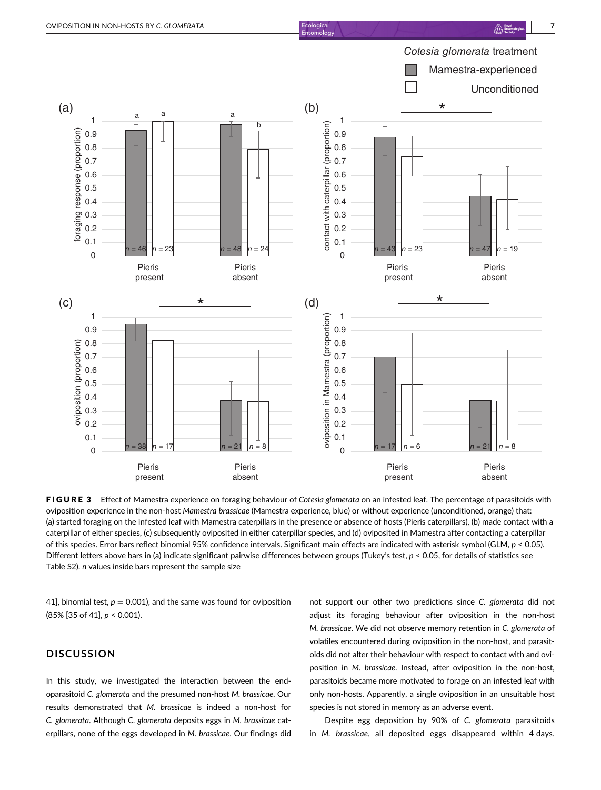foraging response (proportion)

<span id="page-6-0"></span>

FIGURE 3 Effect of Mamestra experience on foraging behaviour of Cotesia glomerata on an infested leaf. The percentage of parasitoids with oviposition experience in the non-host Mamestra brassicae (Mamestra experience, blue) or without experience (unconditioned, orange) that: (a) started foraging on the infested leaf with Mamestra caterpillars in the presence or absence of hosts (Pieris caterpillars), (b) made contact with a caterpillar of either species, (c) subsequently oviposited in either caterpillar species, and (d) oviposited in Mamestra after contacting a caterpillar of this species. Error bars reflect binomial 95% confidence intervals. Significant main effects are indicated with asterisk symbol (GLM, p < 0.05). Different letters above bars in (a) indicate significant pairwise differences between groups (Tukey's test,  $p < 0.05$ , for details of statistics see Table S2). n values inside bars represent the sample size

 $\overline{0}$ 0.1 0.2 0.3

41], binomial test,  $p = 0.001$ ), and the same was found for oviposition (85% [35 of 41], p < 0.001).

Pieris present

*n* = 38 *n* = 17 *n* = 21 *n* = 8

Pieris absent

#### **DISCUSSION**

0 0.1 0.2 0.3

oviposition (proportion)

δ

iposition (proportion)

In this study, we investigated the interaction between the endoparasitoid C. glomerata and the presumed non-host M. brassicae. Our results demonstrated that M. brassicae is indeed a non-host for C. glomerata. Although C. glomerata deposits eggs in M. brassicae caterpillars, none of the eggs developed in M. brassicae. Our findings did

not support our other two predictions since C. glomerata did not adjust its foraging behaviour after oviposition in the non-host M. brassicae. We did not observe memory retention in C. glomerata of volatiles encountered during oviposition in the non-host, and parasitoids did not alter their behaviour with respect to contact with and oviposition in M. brassicae. Instead, after oviposition in the non-host, parasitoids became more motivated to forage on an infested leaf with only non-hosts. Apparently, a single oviposition in an unsuitable host species is not stored in memory as an adverse event.

*n* = 17 *n* = 6 *n* = 21 *n* = 8

Pieris absent

Pieris present

Despite egg deposition by 90% of C. glomerata parasitoids in M. brassicae, all deposited eggs disappeared within 4 days.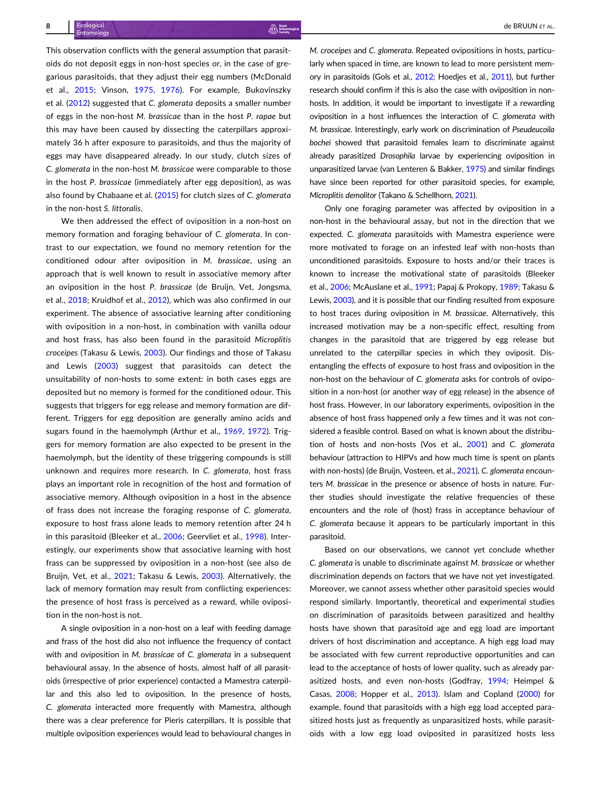This observation conflicts with the general assumption that parasitoids do not deposit eggs in non-host species or, in the case of gregarious parasitoids, that they adjust their egg numbers (McDonald et al., [2015;](#page-9-0) Vinson, [1975,](#page-10-0) [1976](#page-10-0)). For example, Bukovinszky et al. ([2012\)](#page-8-0) suggested that C. glomerata deposits a smaller number of eggs in the non-host M. brassicae than in the host P. rapae but this may have been caused by dissecting the caterpillars approximately 36 h after exposure to parasitoids, and thus the majority of eggs may have disappeared already. In our study, clutch sizes of C. glomerata in the non-host M. brassicae were comparable to those in the host P. brassicae (immediately after egg deposition), as was also found by Chabaane et al. ([2015\)](#page-8-0) for clutch sizes of C. glomerata in the non-host S. littoralis.

We then addressed the effect of oviposition in a non-host on memory formation and foraging behaviour of C. glomerata. In contrast to our expectation, we found no memory retention for the conditioned odour after oviposition in M. brassicae, using an approach that is well known to result in associative memory after an oviposition in the host P. brassicae (de Bruijn, Vet, Jongsma, et al., [2018](#page-9-0); Kruidhof et al., [2012\)](#page-9-0), which was also confirmed in our experiment. The absence of associative learning after conditioning with oviposition in a non-host, in combination with vanilla odour and host frass, has also been found in the parasitoid Microplitis croceipes (Takasu & Lewis, [2003\)](#page-10-0). Our findings and those of Takasu and Lewis ([2003\)](#page-10-0) suggest that parasitoids can detect the unsuitability of non-hosts to some extent: in both cases eggs are deposited but no memory is formed for the conditioned odour. This suggests that triggers for egg release and memory formation are different. Triggers for egg deposition are generally amino acids and sugars found in the haemolymph (Arthur et al., [1969](#page-8-0), [1972](#page-8-0)). Triggers for memory formation are also expected to be present in the haemolymph, but the identity of these triggering compounds is still unknown and requires more research. In C. glomerata, host frass plays an important role in recognition of the host and formation of associative memory. Although oviposition in a host in the absence of frass does not increase the foraging response of C. glomerata, exposure to host frass alone leads to memory retention after 24 h in this parasitoid (Bleeker et al., [2006;](#page-8-0) Geervliet et al., [1998\)](#page-9-0). Interestingly, our experiments show that associative learning with host frass can be suppressed by oviposition in a non-host (see also de Bruijn, Vet, et al., [2021;](#page-9-0) Takasu & Lewis, [2003\)](#page-10-0). Alternatively, the lack of memory formation may result from conflicting experiences: the presence of host frass is perceived as a reward, while oviposition in the non-host is not.

A single oviposition in a non-host on a leaf with feeding damage and frass of the host did also not influence the frequency of contact with and oviposition in M. brassicae of C. glomerata in a subsequent behavioural assay. In the absence of hosts, almost half of all parasitoids (irrespective of prior experience) contacted a Mamestra caterpillar and this also led to oviposition. In the presence of hosts, C. glomerata interacted more frequently with Mamestra, although there was a clear preference for Pieris caterpillars. It is possible that multiple oviposition experiences would lead to behavioural changes in

M. croceipes and C. glomerata. Repeated ovipositions in hosts, particularly when spaced in time, are known to lead to more persistent memory in parasitoids (Gols et al., [2012](#page-9-0); Hoedjes et al., [2011\)](#page-9-0), but further research should confirm if this is also the case with oviposition in nonhosts. In addition, it would be important to investigate if a rewarding oviposition in a host influences the interaction of C. glomerata with M. brassicae. Interestingly, early work on discrimination of Pseudeucoila bochei showed that parasitoid females learn to discriminate against already parasitized Drosophila larvae by experiencing oviposition in unparasitized larvae (van Lenteren & Bakker, [1975\)](#page-10-0) and similar findings have since been reported for other parasitoid species, for example, Microplitis demolitor (Takano & Schellhorn, [2021](#page-10-0)).

Only one foraging parameter was affected by oviposition in a non-host in the behavioural assay, but not in the direction that we expected. C. glomerata parasitoids with Mamestra experience were more motivated to forage on an infested leaf with non-hosts than unconditioned parasitoids. Exposure to hosts and/or their traces is known to increase the motivational state of parasitoids (Bleeker et al., [2006;](#page-8-0) McAuslane et al., [1991](#page-9-0); Papaj & Prokopy, [1989](#page-10-0); Takasu & Lewis, [2003\)](#page-10-0), and it is possible that our finding resulted from exposure to host traces during oviposition in M. brassicae. Alternatively, this increased motivation may be a non-specific effect, resulting from changes in the parasitoid that are triggered by egg release but unrelated to the caterpillar species in which they oviposit. Disentangling the effects of exposure to host frass and oviposition in the non-host on the behaviour of C. glomerata asks for controls of oviposition in a non-host (or another way of egg release) in the absence of host frass. However, in our laboratory experiments, oviposition in the absence of host frass happened only a few times and it was not considered a feasible control. Based on what is known about the distribution of hosts and non-hosts (Vos et al., [2001\)](#page-10-0) and C. glomerata behaviour (attraction to HIPVs and how much time is spent on plants with non-hosts) (de Bruijn, Vosteen, et al., [2021](#page-9-0)), C. glomerata encounters M. brassicae in the presence or absence of hosts in nature. Further studies should investigate the relative frequencies of these encounters and the role of (host) frass in acceptance behaviour of C. glomerata because it appears to be particularly important in this parasitoid.

Based on our observations, we cannot yet conclude whether C. glomerata is unable to discriminate against M. brassicae or whether discrimination depends on factors that we have not yet investigated. Moreover, we cannot assess whether other parasitoid species would respond similarly. Importantly, theoretical and experimental studies on discrimination of parasitoids between parasitized and healthy hosts have shown that parasitoid age and egg load are important drivers of host discrimination and acceptance. A high egg load may be associated with few current reproductive opportunities and can lead to the acceptance of hosts of lower quality, such as already parasitized hosts, and even non-hosts (Godfray, [1994;](#page-9-0) Heimpel & Casas, [2008;](#page-9-0) Hopper et al., [2013\)](#page-9-0). Islam and Copland ([2000](#page-9-0)) for example, found that parasitoids with a high egg load accepted parasitized hosts just as frequently as unparasitized hosts, while parasitoids with a low egg load oviposited in parasitized hosts less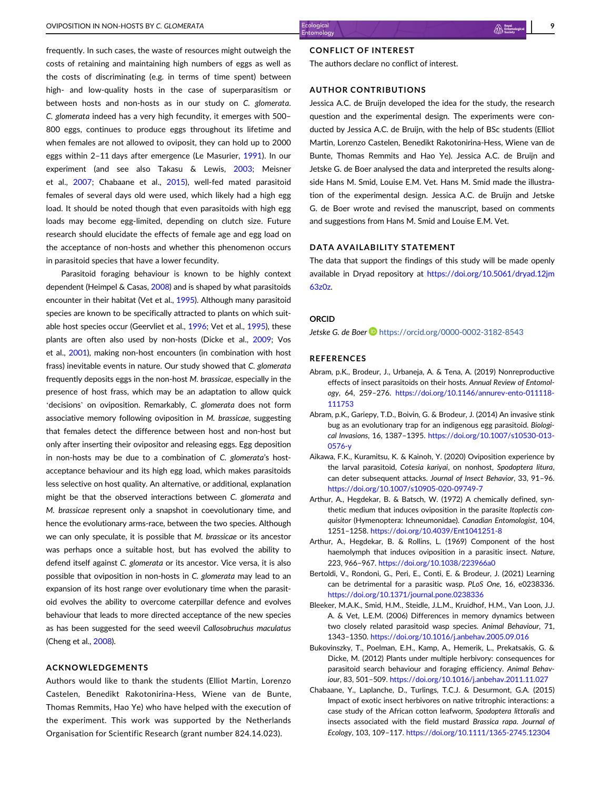<span id="page-8-0"></span>frequently. In such cases, the waste of resources might outweigh the costs of retaining and maintaining high numbers of eggs as well as the costs of discriminating (e.g. in terms of time spent) between high- and low-quality hosts in the case of superparasitism or between hosts and non-hosts as in our study on C. glomerata. C. glomerata indeed has a very high fecundity, it emerges with 500– 800 eggs, continues to produce eggs throughout its lifetime and when females are not allowed to oviposit, they can hold up to 2000 eggs within 2–11 days after emergence (Le Masurier, [1991\)](#page-9-0). In our experiment (and see also Takasu & Lewis, [2003](#page-10-0); Meisner et al., [2007](#page-9-0); Chabaane et al., 2015), well-fed mated parasitoid females of several days old were used, which likely had a high egg load. It should be noted though that even parasitoids with high egg loads may become egg-limited, depending on clutch size. Future research should elucidate the effects of female age and egg load on the acceptance of non-hosts and whether this phenomenon occurs in parasitoid species that have a lower fecundity.

Parasitoid foraging behaviour is known to be highly context dependent (Heimpel & Casas, [2008\)](#page-9-0) and is shaped by what parasitoids encounter in their habitat (Vet et al., [1995\)](#page-10-0). Although many parasitoid species are known to be specifically attracted to plants on which suitable host species occur (Geervliet et al., [1996;](#page-9-0) Vet et al., [1995](#page-10-0)), these plants are often also used by non-hosts (Dicke et al., [2009;](#page-9-0) Vos et al., [2001](#page-10-0)), making non-host encounters (in combination with host frass) inevitable events in nature. Our study showed that C. glomerata frequently deposits eggs in the non-host M. brassicae, especially in the presence of host frass, which may be an adaptation to allow quick 'decisions' on oviposition. Remarkably, C. glomerata does not form associative memory following oviposition in M. brassicae, suggesting that females detect the difference between host and non-host but only after inserting their ovipositor and releasing eggs. Egg deposition in non-hosts may be due to a combination of C. glomerata's hostacceptance behaviour and its high egg load, which makes parasitoids less selective on host quality. An alternative, or additional, explanation might be that the observed interactions between C. glomerata and M. brassicae represent only a snapshot in coevolutionary time, and hence the evolutionary arms-race, between the two species. Although we can only speculate, it is possible that M. brassicae or its ancestor was perhaps once a suitable host, but has evolved the ability to defend itself against C. glomerata or its ancestor. Vice versa, it is also possible that oviposition in non-hosts in C. glomerata may lead to an expansion of its host range over evolutionary time when the parasitoid evolves the ability to overcome caterpillar defence and evolves behaviour that leads to more directed acceptance of the new species as has been suggested for the seed weevil Callosobruchus maculatus (Cheng et al., [2008\)](#page-9-0).

#### ACKNOWLEDGEMENTS

Authors would like to thank the students (Elliot Martin, Lorenzo Castelen, Benedikt Rakotonirina-Hess, Wiene van de Bunte, Thomas Remmits, Hao Ye) who have helped with the execution of the experiment. This work was supported by the Netherlands Organisation for Scientific Research (grant number 824.14.023).

#### CONFLICT OF INTEREST

The authors declare no conflict of interest.

#### AUTHOR CONTRIBUTIONS

Jessica A.C. de Bruijn developed the idea for the study, the research question and the experimental design. The experiments were conducted by Jessica A.C. de Bruijn, with the help of BSc students (Elliot Martin, Lorenzo Castelen, Benedikt Rakotonirina-Hess, Wiene van de Bunte, Thomas Remmits and Hao Ye). Jessica A.C. de Bruijn and Jetske G. de Boer analysed the data and interpreted the results alongside Hans M. Smid, Louise E.M. Vet. Hans M. Smid made the illustration of the experimental design. Jessica A.C. de Bruijn and Jetske G. de Boer wrote and revised the manuscript, based on comments and suggestions from Hans M. Smid and Louise E.M. Vet.

#### DATA AVAILABILITY STATEMENT

The data that support the findings of this study will be made openly available in Dryad repository at [https://doi.org/10.5061/dryad.12jm](http://doi.org/10.5061/dryad.12jm63z0z) [63z0z.](http://doi.org/10.5061/dryad.12jm63z0z)

#### ORCID

Jetske G. de Boer **b** <https://orcid.org/0000-0002-3182-8543>

#### REFERENCES

- Abram, p.K., Brodeur, J., Urbaneja, A. & Tena, A. (2019) Nonreproductive effects of insect parasitoids on their hosts. Annual Review of Entomology, 64, 259–276. [https://doi.org/10.1146/annurev-ento-011118-](https://doi.org/10.1146/annurev-ento-011118-111753) [111753](https://doi.org/10.1146/annurev-ento-011118-111753)
- Abram, p.K., Gariepy, T.D., Boivin, G. & Brodeur, J. (2014) An invasive stink bug as an evolutionary trap for an indigenous egg parasitoid. Biological Invasions, 16, 1387–1395. [https://doi.org/10.1007/s10530-013-](https://doi.org/10.1007/s10530-013-0576-y) [0576-y](https://doi.org/10.1007/s10530-013-0576-y)
- Aikawa, F.K., Kuramitsu, K. & Kainoh, Y. (2020) Oviposition experience by the larval parasitoid, Cotesia kariyai, on nonhost, Spodoptera litura, can deter subsequent attacks. Journal of Insect Behavior, 33, 91–96. <https://doi.org/10.1007/s10905-020-09749-7>
- Arthur, A., Hegdekar, B. & Batsch, W. (1972) A chemically defined, synthetic medium that induces oviposition in the parasite Itoplectis conquisitor (Hymenoptera: Ichneumonidae). Canadian Entomologist, 104, 1251–1258. <https://doi.org/10.4039/Ent1041251-8>
- Arthur, A., Hegdekar, B. & Rollins, L. (1969) Component of the host haemolymph that induces oviposition in a parasitic insect. Nature, 223, 966–967. <https://doi.org/10.1038/223966a0>
- Bertoldi, V., Rondoni, G., Peri, E., Conti, E. & Brodeur, J. (2021) Learning can be detrimental for a parasitic wasp. PLoS One, 16, e0238336. <https://doi.org/10.1371/journal.pone.0238336>
- Bleeker, M.A.K., Smid, H.M., Steidle, J.L.M., Kruidhof, H.M., Van Loon, J.J. A. & Vet, L.E.M. (2006) Differences in memory dynamics between two closely related parasitoid wasp species. Animal Behaviour, 71, 1343–1350. <https://doi.org/10.1016/j.anbehav.2005.09.016>
- Bukovinszky, T., Poelman, E.H., Kamp, A., Hemerik, L., Prekatsakis, G. & Dicke, M. (2012) Plants under multiple herbivory: consequences for parasitoid search behaviour and foraging efficiency. Animal Behaviour, 83, 501–509. <https://doi.org/10.1016/j.anbehav.2011.11.027>
- Chabaane, Y., Laplanche, D., Turlings, T.C.J. & Desurmont, G.A. (2015) Impact of exotic insect herbivores on native tritrophic interactions: a case study of the African cotton leafworm, Spodoptera littoralis and insects associated with the field mustard Brassica rapa. Journal of Ecology, 103, 109–117. <https://doi.org/10.1111/1365-2745.12304>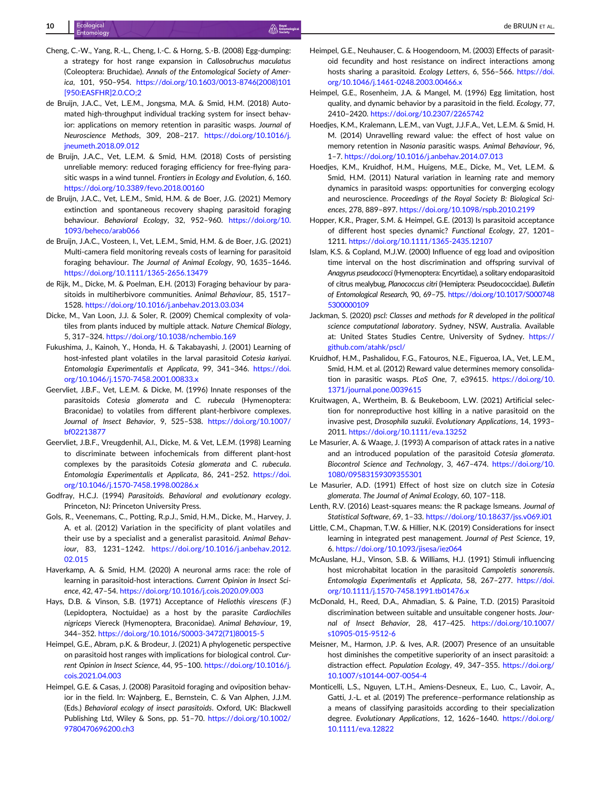- <span id="page-9-0"></span>10 established de BRUIJN et al. 1992 de BRUIJN et al. 1992 de BRUIJN et al. 1992 de BRUIJN et al. 1993 de BRUIJN et al.
- Cheng, C.-W., Yang, R.-L., Cheng, I.-C. & Horng, S.-B. (2008) Egg-dumping: a strategy for host range expansion in Callosobruchus maculatus (Coleoptera: Bruchidae). Annals of the Entomological Society of America, 101, 950–954. [https://doi.org/10.1603/0013-8746\(2008\)101](https://doi.org/10.1603/0013-8746(2008)101%5B950:EASFHR%5D2.0.CO;2) [\[950:EASFHR\]2.0.CO;2](https://doi.org/10.1603/0013-8746(2008)101%5B950:EASFHR%5D2.0.CO;2)
- de Bruijn, J.A.C., Vet, L.E.M., Jongsma, M.A. & Smid, H.M. (2018) Automated high-throughput individual tracking system for insect behavior: applications on memory retention in parasitic wasps. Journal of Neuroscience Methods, 309, 208–217. [https://doi.org/10.1016/j.](https://doi.org/10.1016/j.jneumeth.2018.09.012) [jneumeth.2018.09.012](https://doi.org/10.1016/j.jneumeth.2018.09.012)
- de Bruijn, J.A.C., Vet, L.E.M. & Smid, H.M. (2018) Costs of persisting unreliable memory: reduced foraging efficiency for free-flying parasitic wasps in a wind tunnel. Frontiers in Ecology and Evolution, 6, 160. <https://doi.org/10.3389/fevo.2018.00160>
- de Bruijn, J.A.C., Vet, L.E.M., Smid, H.M. & de Boer, J.G. (2021) Memory extinction and spontaneous recovery shaping parasitoid foraging behaviour. Behavioral Ecology, 32, 952–960. [https://doi.org/10.](https://doi.org/10.1093/beheco/arab066) [1093/beheco/arab066](https://doi.org/10.1093/beheco/arab066)
- de Bruijn, J.A.C., Vosteen, I., Vet, L.E.M., Smid, H.M. & de Boer, J.G. (2021) Multi-camera field monitoring reveals costs of learning for parasitoid foraging behaviour. The Journal of Animal Ecology, 90, 1635–1646. <https://doi.org/10.1111/1365-2656.13479>
- de Rijk, M., Dicke, M. & Poelman, E.H. (2013) Foraging behaviour by parasitoids in multiherbivore communities. Animal Behaviour, 85, 1517– 1528. <https://doi.org/10.1016/j.anbehav.2013.03.034>
- Dicke, M., Van Loon, J.J. & Soler, R. (2009) Chemical complexity of volatiles from plants induced by multiple attack. Nature Chemical Biology, 5, 317–324. <https://doi.org/10.1038/nchembio.169>
- Fukushima, J., Kainoh, Y., Honda, H. & Takabayashi, J. (2001) Learning of host-infested plant volatiles in the larval parasitoid Cotesia kariyai. Entomologia Experimentalis et Applicata, 99, 341–346. [https://doi.](https://doi.org/10.1046/j.1570-7458.2001.00833.x) [org/10.1046/j.1570-7458.2001.00833.x](https://doi.org/10.1046/j.1570-7458.2001.00833.x)
- Geervliet, J.B.F., Vet, L.E.M. & Dicke, M. (1996) Innate responses of the parasitoids Cotesia glomerata and C. rubecula (Hymenoptera: Braconidae) to volatiles from different plant-herbivore complexes. Journal of Insect Behavior, 9, 525–538. [https://doi.org/10.1007/](https://doi.org/10.1007/bf02213877) [bf02213877](https://doi.org/10.1007/bf02213877)
- Geervliet, J.B.F., Vreugdenhil, A.I., Dicke, M. & Vet, L.E.M. (1998) Learning to discriminate between infochemicals from different plant-host complexes by the parasitoids Cotesia glomerata and C. rubecula. Entomologia Experimentalis et Applicata, 86, 241–252. [https://doi.](https://doi.org/10.1046/j.1570-7458.1998.00286.x) [org/10.1046/j.1570-7458.1998.00286.x](https://doi.org/10.1046/j.1570-7458.1998.00286.x)
- Godfray, H.C.J. (1994) Parasitoids. Behavioral and evolutionary ecology. Princeton, NJ: Princeton University Press.
- Gols, R., Veenemans, C., Potting, R.p.J., Smid, H.M., Dicke, M., Harvey, J. A. et al. (2012) Variation in the specificity of plant volatiles and their use by a specialist and a generalist parasitoid. Animal Behaviour, 83, 1231–1242. [https://doi.org/10.1016/j.anbehav.2012.](https://doi.org/10.1016/j.anbehav.2012.02.015) [02.015](https://doi.org/10.1016/j.anbehav.2012.02.015)
- Haverkamp, A. & Smid, H.M. (2020) A neuronal arms race: the role of learning in parasitoid-host interactions. Current Opinion in Insect Science, 42, 47–54. <https://doi.org/10.1016/j.cois.2020.09.003>
- Hays, D.B. & Vinson, S.B. (1971) Acceptance of Heliothis virescens (F.) (Lepidoptera, Noctuidae) as a host by the parasite Cardiochiles nigriceps Viereck (Hymenoptera, Braconidae). Animal Behaviour, 19, 344–352. [https://doi.org/10.1016/S0003-3472\(71\)80015-5](https://doi.org/10.1016/S0003-3472(71)80015-5)
- Heimpel, G.E., Abram, p.K. & Brodeur, J. (2021) A phylogenetic perspective on parasitoid host ranges with implications for biological control. Current Opinion in Insect Science, 44, 95–100. [https://doi.org/10.1016/j.](https://doi.org/10.1016/j.cois.2021.04.003) [cois.2021.04.003](https://doi.org/10.1016/j.cois.2021.04.003)
- Heimpel, G.E. & Casas, J. (2008) Parasitoid foraging and oviposition behavior in the field. In: Wajnberg, E., Bernstein, C. & Van Alphen, J.J.M. (Eds.) Behavioral ecology of insect parasitoids. Oxford, UK: Blackwell Publishing Ltd, Wiley & Sons, pp. 51–70. [https://doi.org/10.1002/](https://doi.org/10.1002/9780470696200.ch3) [9780470696200.ch3](https://doi.org/10.1002/9780470696200.ch3)
- Heimpel, G.E., Neuhauser, C. & Hoogendoorn, M. (2003) Effects of parasitoid fecundity and host resistance on indirect interactions among hosts sharing a parasitoid. Ecology Letters, 6, 556–566. [https://doi.](https://doi.org/10.1046/j.1461-0248.2003.00466.x) [org/10.1046/j.1461-0248.2003.00466.x](https://doi.org/10.1046/j.1461-0248.2003.00466.x)
- Heimpel, G.E., Rosenheim, J.A. & Mangel, M. (1996) Egg limitation, host quality, and dynamic behavior by a parasitoid in the field. Ecology, 77, 2410–2420. <https://doi.org/10.2307/2265742>
- Hoedjes, K.M., Kralemann, L.E.M., van Vugt, J.J.F.A., Vet, L.E.M. & Smid, H. M. (2014) Unravelling reward value: the effect of host value on memory retention in Nasonia parasitic wasps. Animal Behaviour, 96, 1–7. <https://doi.org/10.1016/j.anbehav.2014.07.013>
- Hoedjes, K.M., Kruidhof, H.M., Huigens, M.E., Dicke, M., Vet, L.E.M. & Smid, H.M. (2011) Natural variation in learning rate and memory dynamics in parasitoid wasps: opportunities for converging ecology and neuroscience. Proceedings of the Royal Society B: Biological Sciences, 278, 889–897. <https://doi.org/10.1098/rspb.2010.2199>
- Hopper, K.R., Prager, S.M. & Heimpel, G.E. (2013) Is parasitoid acceptance of different host species dynamic? Functional Ecology, 27, 1201– 1211. <https://doi.org/10.1111/1365-2435.12107>
- Islam, K.S. & Copland, M.J.W. (2000) Influence of egg load and oviposition time interval on the host discrimination and offspring survival of Anagyrus pseudococci (Hymenoptera: Encyrtidae), a solitary endoparasitoid of citrus mealybug, Planococcus citri (Hemiptera: Pseudococcidae). Bulletin of Entomological Research, 90, 69–75. [https://doi.org/10.1017/S000748](https://doi.org/10.1017/S0007485300000109) [5300000109](https://doi.org/10.1017/S0007485300000109)
- Jackman, S. (2020) pscl: Classes and methods for R developed in the political science computational laboratory. Sydney, NSW, Australia. Available at: United States Studies Centre, University of Sydney. [https://](https://github.com/atahk/pscl/) [github.com/atahk/pscl/](https://github.com/atahk/pscl/)
- Kruidhof, H.M., Pashalidou, F.G., Fatouros, N.E., Figueroa, I.A., Vet, L.E.M., Smid, H.M. et al. (2012) Reward value determines memory consolidation in parasitic wasps. PLoS One, 7, e39615. [https://doi.org/10.](https://doi.org/10.1371/journal.pone.0039615) [1371/journal.pone.0039615](https://doi.org/10.1371/journal.pone.0039615)
- Kruitwagen, A., Wertheim, B. & Beukeboom, L.W. (2021) Artificial selection for nonreproductive host killing in a native parasitoid on the invasive pest, Drosophila suzukii. Evolutionary Applications, 14, 1993– 2011. <https://doi.org/10.1111/eva.13252>
- Le Masurier, A. & Waage, J. (1993) A comparison of attack rates in a native and an introduced population of the parasitoid Cotesia glomerata. Biocontrol Science and Technology, 3, 467–474. [https://doi.org/10.](https://doi.org/10.1080/09583159309355301) [1080/09583159309355301](https://doi.org/10.1080/09583159309355301)
- Le Masurier, A.D. (1991) Effect of host size on clutch size in Cotesia glomerata. The Journal of Animal Ecology, 60, 107–118.
- Lenth, R.V. (2016) Least-squares means: the R package lsmeans. Journal of Statistical Software, 69, 1–33. <https://doi.org/10.18637/jss.v069.i01>
- Little, C.M., Chapman, T.W. & Hillier, N.K. (2019) Considerations for insect learning in integrated pest management. Journal of Pest Science, 19, 6. <https://doi.org/10.1093/jisesa/iez064>
- McAuslane, H.J., Vinson, S.B. & Williams, H.J. (1991) Stimuli influencing host microhabitat location in the parasitoid Campoletis sonorensis. Entomologia Experimentalis et Applicata, 58, 267–277. [https://doi.](https://doi.org/10.1111/j.1570-7458.1991.tb01476.x) [org/10.1111/j.1570-7458.1991.tb01476.x](https://doi.org/10.1111/j.1570-7458.1991.tb01476.x)
- McDonald, H., Reed, D.A., Ahmadian, S. & Paine, T.D. (2015) Parasitoid discrimination between suitable and unsuitable congener hosts. Journal of Insect Behavior, 28, 417–425. [https://doi.org/10.1007/](https://doi.org/10.1007/s10905-015-9512-6) [s10905-015-9512-6](https://doi.org/10.1007/s10905-015-9512-6)
- Meisner, M., Harmon, J.P. & Ives, A.R. (2007) Presence of an unsuitable host diminishes the competitive superiority of an insect parasitoid: a distraction effect. Population Ecology, 49, 347–355. [https://doi.org/](https://doi.org/10.1007/s10144-007-0054-4) [10.1007/s10144-007-0054-4](https://doi.org/10.1007/s10144-007-0054-4)
- Monticelli, L.S., Nguyen, L.T.H., Amiens-Desneux, E., Luo, C., Lavoir, A., Gatti, J.-L. et al. (2019) The preference–performance relationship as a means of classifying parasitoids according to their specialization degree. Evolutionary Applications, 12, 1626–1640. [https://doi.org/](https://doi.org/10.1111/eva.12822) [10.1111/eva.12822](https://doi.org/10.1111/eva.12822)